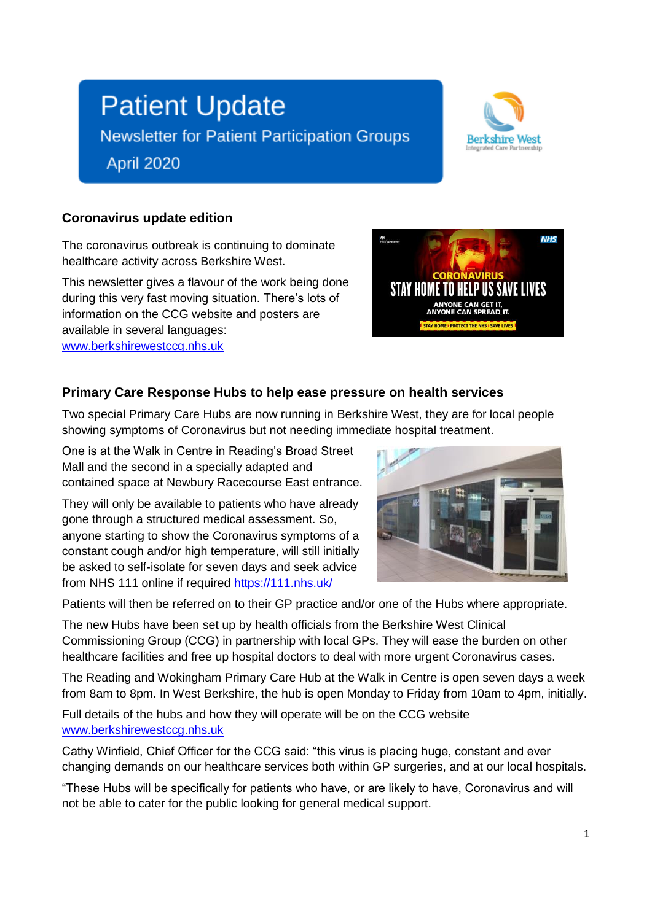# **Patient Update**

**Newsletter for Patient Participation Groups** 

April 2020



#### **Coronavirus update edition**

The coronavirus outbreak is continuing to dominate healthcare activity across Berkshire West.

This newsletter gives a flavour of the work being done during this very fast moving situation. There's lots of information on the CCG website and posters are available in several languages: [www.berkshirewestccg.nhs.uk](http://www.berkshirewestccg.nhs.uk/)



### **Primary Care Response Hubs to help ease pressure on health services**

Two special Primary Care Hubs are now running in Berkshire West, they are for local people showing symptoms of Coronavirus but not needing immediate hospital treatment.

One is at the Walk in Centre in Reading's Broad Street Mall and the second in a specially adapted and contained space at Newbury Racecourse East entrance.

They will only be available to patients who have already gone through a structured medical assessment. So, anyone starting to show the Coronavirus symptoms of a constant cough and/or high temperature, will still initially be asked to self-isolate for seven days and seek advice from NHS 111 online if required<https://111.nhs.uk/>



Patients will then be referred on to their GP practice and/or one of the Hubs where appropriate.

The new Hubs have been set up by health officials from the Berkshire West Clinical Commissioning Group (CCG) in partnership with local GPs. They will ease the burden on other healthcare facilities and free up hospital doctors to deal with more urgent Coronavirus cases.

The Reading and Wokingham Primary Care Hub at the Walk in Centre is open seven days a week from 8am to 8pm. In West Berkshire, the hub is open Monday to Friday from 10am to 4pm, initially.

Full details of the hubs and how they will operate will be on the CCG website [www.berkshirewestccg.nhs.uk](http://www.berkshirewestccg.nhs.uk/)

Cathy Winfield, Chief Officer for the CCG said: "this virus is placing huge, constant and ever changing demands on our healthcare services both within GP surgeries, and at our local hospitals.

"These Hubs will be specifically for patients who have, or are likely to have, Coronavirus and will not be able to cater for the public looking for general medical support.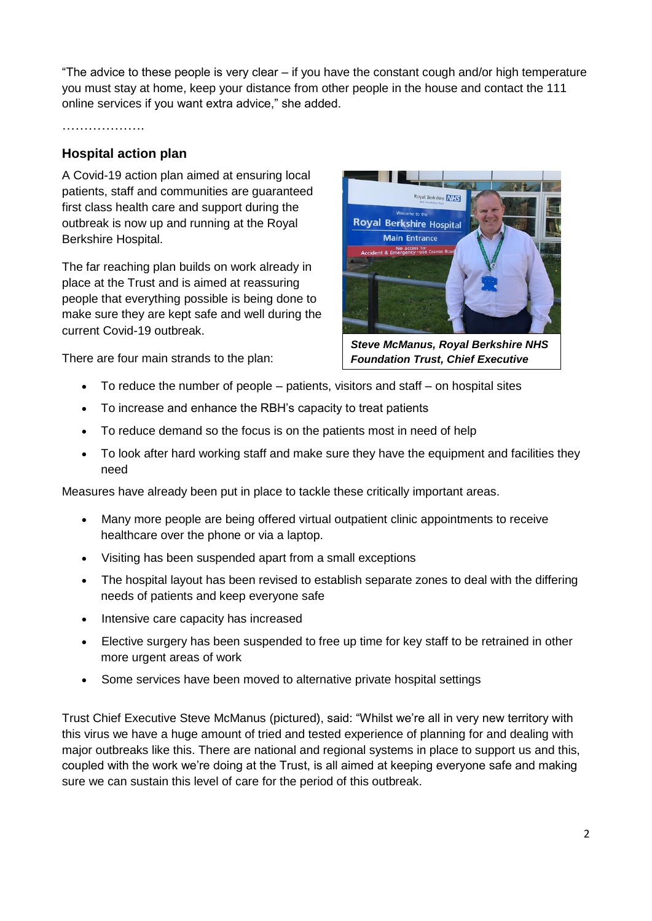"The advice to these people is very clear – if you have the constant cough and/or high temperature you must stay at home, keep your distance from other people in the house and contact the 111 online services if you want extra advice," she added.

#### ………………

#### **Hospital action plan**

A Covid-19 action plan aimed at ensuring local patients, staff and communities are guaranteed first class health care and support during the outbreak is now up and running at the Royal Berkshire Hospital.

The far reaching plan builds on work already in place at the Trust and is aimed at reassuring people that everything possible is being done to make sure they are kept safe and well during the current Covid-19 outbreak.

There are four main strands to the plan:

- To reduce the number of people patients, visitors and staff on hospital sites
- To increase and enhance the RBH's capacity to treat patients
- To reduce demand so the focus is on the patients most in need of help
- To look after hard working staff and make sure they have the equipment and facilities they need

Measures have already been put in place to tackle these critically important areas.

- Many more people are being offered virtual outpatient clinic appointments to receive healthcare over the phone or via a laptop.
- Visiting has been suspended apart from a small exceptions
- The hospital layout has been revised to establish separate zones to deal with the differing needs of patients and keep everyone safe
- Intensive care capacity has increased
- Elective surgery has been suspended to free up time for key staff to be retrained in other more urgent areas of work
- Some services have been moved to alternative private hospital settings

Trust Chief Executive Steve McManus (pictured), said: "Whilst we're all in very new territory with this virus we have a huge amount of tried and tested experience of planning for and dealing with major outbreaks like this. There are national and regional systems in place to support us and this, coupled with the work we're doing at the Trust, is all aimed at keeping everyone safe and making sure we can sustain this level of care for the period of this outbreak.

yal Berkshire **NHS Royal Berkshire Hospital Main Entrance** 

*Steve McManus, Royal Berkshire NHS Foundation Trust, Chief Executive*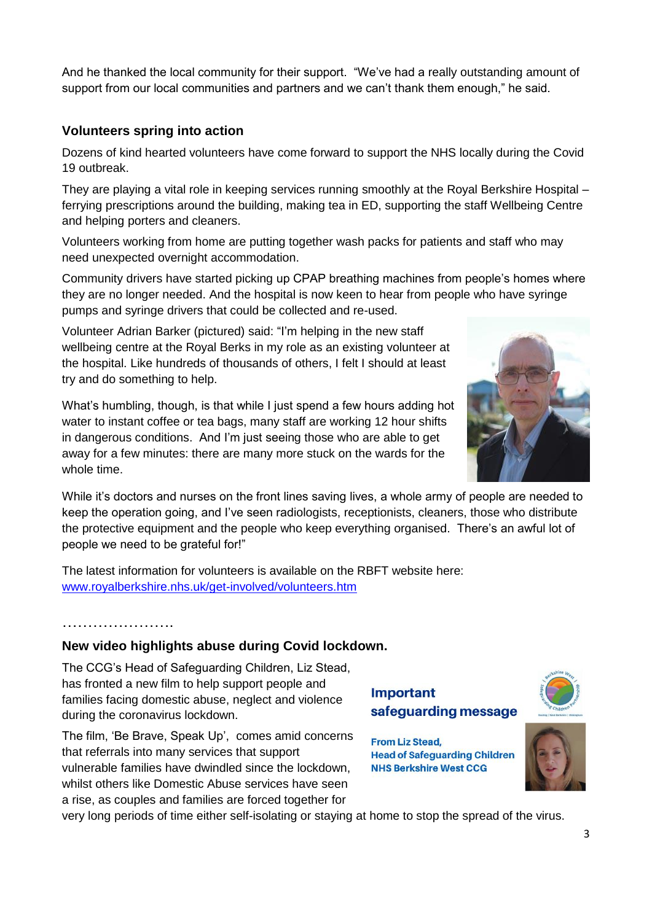And he thanked the local community for their support. "We've had a really outstanding amount of support from our local communities and partners and we can't thank them enough," he said.

#### **Volunteers spring into action**

Dozens of kind hearted volunteers have come forward to support the NHS locally during the Covid 19 outbreak.

They are playing a vital role in keeping services running smoothly at the Royal Berkshire Hospital – ferrying prescriptions around the building, making tea in ED, supporting the staff Wellbeing Centre and helping porters and cleaners.

Volunteers working from home are putting together wash packs for patients and staff who may need unexpected overnight accommodation.

Community drivers have started picking up CPAP breathing machines from people's homes where they are no longer needed. And the hospital is now keen to hear from people who have syringe pumps and syringe drivers that could be collected and re-used.

Volunteer Adrian Barker (pictured) said: "I'm helping in the new staff wellbeing centre at the Royal Berks in my role as an existing volunteer at the hospital. Like hundreds of thousands of others, I felt I should at least try and do something to help.

What's humbling, though, is that while I just spend a few hours adding hot water to instant coffee or tea bags, many staff are working 12 hour shifts in dangerous conditions. And I'm just seeing those who are able to get away for a few minutes: there are many more stuck on the wards for the whole time.

While it's doctors and nurses on the front lines saving lives, a whole army of people are needed to keep the operation going, and I've seen radiologists, receptionists, cleaners, those who distribute the protective equipment and the people who keep everything organised. There's an awful lot of people we need to be grateful for!"

The latest information for volunteers is available on the RBFT website here: [www.royalberkshire.nhs.uk/get-involved/volunteers.htm](http://www.royalberkshire.nhs.uk/get-involved/volunteers.htm) 

## ………………….

#### **New video highlights abuse during Covid lockdown.**

The CCG's Head of Safeguarding Children, Liz Stead, has fronted a new film to help support people and families facing domestic abuse, neglect and violence during the coronavirus lockdown.

The film, 'Be Brave, Speak Up', comes amid concerns that referrals into many services that support vulnerable families have dwindled since the lockdown, whilst others like Domestic Abuse services have seen a rise, as couples and families are forced together for

#### **Important** safeguarding message



very long periods of time either self-isolating or staying at home to stop the spread of the virus.





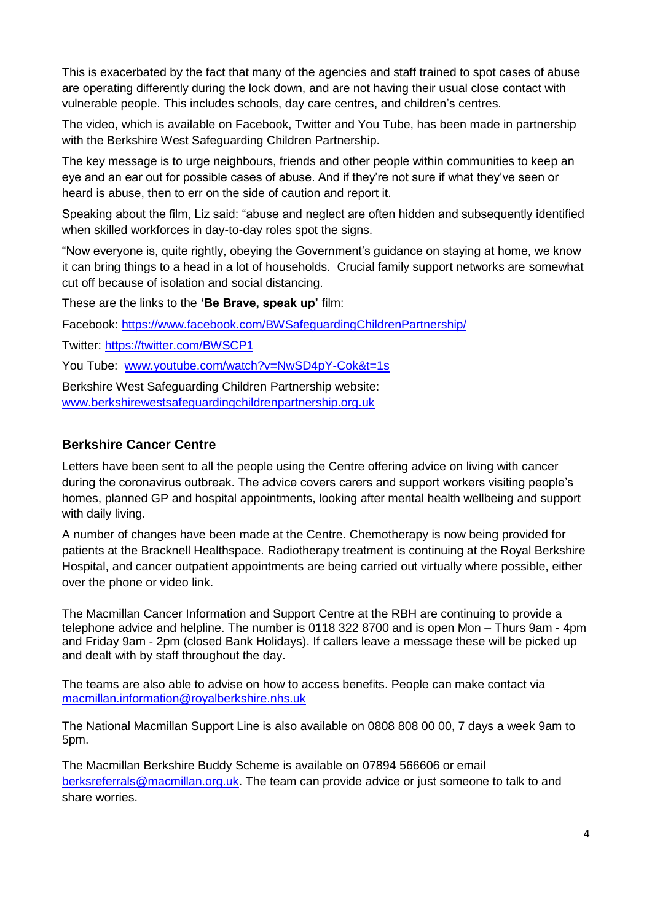This is exacerbated by the fact that many of the agencies and staff trained to spot cases of abuse are operating differently during the lock down, and are not having their usual close contact with vulnerable people. This includes schools, day care centres, and children's centres.

The video, which is available on Facebook, Twitter and You Tube, has been made in partnership with the Berkshire West Safeguarding Children Partnership.

The key message is to urge neighbours, friends and other people within communities to keep an eye and an ear out for possible cases of abuse. And if they're not sure if what they've seen or heard is abuse, then to err on the side of caution and report it.

Speaking about the film, Liz said: "abuse and neglect are often hidden and subsequently identified when skilled workforces in day-to-day roles spot the signs.

"Now everyone is, quite rightly, obeying the Government's guidance on staying at home, we know it can bring things to a head in a lot of households. Crucial family support networks are somewhat cut off because of isolation and social distancing.

These are the links to the **'Be Brave, speak up'** film:

Facebook:<https://www.facebook.com/BWSafeguardingChildrenPartnership/>

Twitter:<https://twitter.com/BWSCP1>

You Tube: [www.youtube.com/watch?v=NwSD4pY-Cok&t=1s](http://www.youtube.com/watch?v=NwSD4pY-Cok&t=1s)

Berkshire West Safeguarding Children Partnership website: [www.berkshirewestsafeguardingchildrenpartnership.org.uk](http://www.berkshirewestsafeguardingchildrenpartnership.org.uk/)

#### **Berkshire Cancer Centre**

Letters have been sent to all the people using the Centre offering advice on living with cancer during the coronavirus outbreak. The advice covers carers and support workers visiting people's homes, planned GP and hospital appointments, looking after mental health wellbeing and support with daily living.

A number of changes have been made at the Centre. Chemotherapy is now being provided for patients at the Bracknell Healthspace. Radiotherapy treatment is continuing at the Royal Berkshire Hospital, and cancer outpatient appointments are being carried out virtually where possible, either over the phone or video link.

The Macmillan Cancer Information and Support Centre at the RBH are continuing to provide a telephone advice and helpline. The number is 0118 322 8700 and is open Mon – Thurs 9am - 4pm and Friday 9am - 2pm (closed Bank Holidays). If callers leave a message these will be picked up and dealt with by staff throughout the day.

The teams are also able to advise on how to access benefits. People can make contact via [macmillan.information@royalberkshire.nhs.uk](mailto:macmillan.information@royalberkshire.nhs.uk)

The National Macmillan Support Line is also available on 0808 808 00 00, 7 days a week 9am to 5pm.

The Macmillan Berkshire Buddy Scheme is available on 07894 566606 or email [berksreferrals@macmillan.org.uk.](mailto:berksreferrals@macmillan.org.uk) The team can provide advice or just someone to talk to and share worries.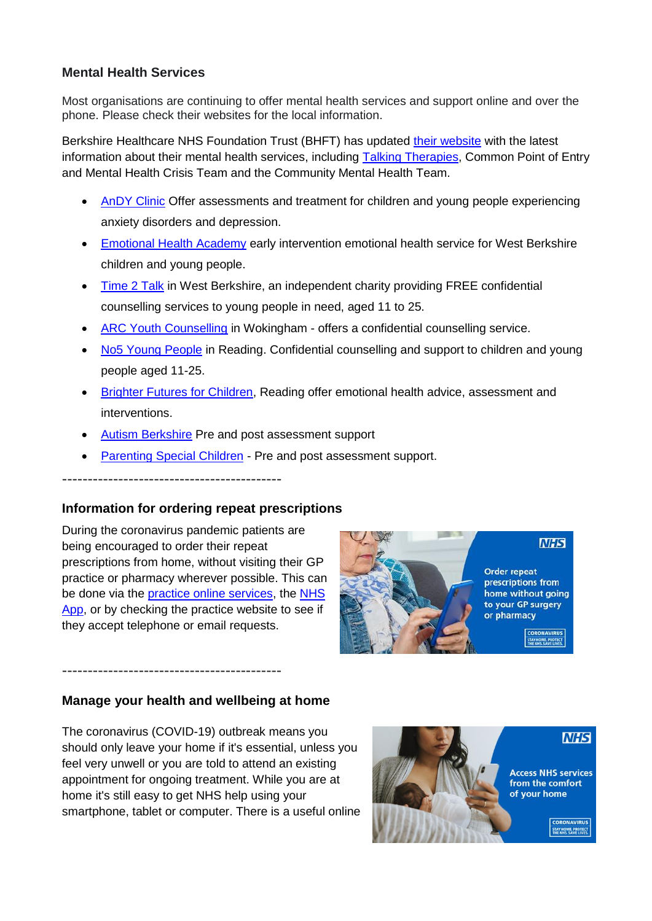#### **Mental Health Services**

Most organisations are continuing to offer mental health services and support online and over the phone. Please check their websites for the local information.

Berkshire Healthcare NHS Foundation Trust (BHFT) has updated [their website](https://www.berkshirehealthcare.nhs.uk/our-services/mental-health-and-wellbeing/) with the latest information about their mental health services, including [Talking Therapies,](https://www.berkshirehealthcare.nhs.uk/our-services/mental-health-and-wellbeing/talking-therapies-berkshire/) Common Point of Entry and Mental Health Crisis Team and the Community Mental Health Team.

- [AnDY Clinic](https://research.reading.ac.uk/andy/) Offer assessments and treatment for children and young people experiencing anxiety disorders and depression.
- [Emotional Health Academy](http://www.westberkseducation.co.uk/Services/Details/2746) early intervention emotional health service for West Berkshire children and young people.
- [Time 2 Talk](https://t2twb.org/) in West Berkshire, an independent charity providing FREE confidential counselling services to young people in need, aged 11 to 25.
- [ARC Youth Counselling](https://arcweb.org.uk/) in Wokingham offers a confidential counselling service.
- [No5 Young People](https://no5.org.uk/) in Reading. Confidential counselling and support to children and young people aged 11-25.
- [Brighter Futures for Children,](http://www.brighterfuturesforchildren.org/MHST-referral-form) Reading offer emotional health advice, assessment and interventions.
- **[Autism Berkshire](http://www.autismberkshire.org.uk/) Pre and post assessment support**
- [Parenting Special Children](https://www.parentingspecialchildren.co.uk/) Pre and post assessment support.

-------------------------------------------

#### **Information for ordering repeat prescriptions**

During the coronavirus pandemic patients are being encouraged to order their repeat prescriptions from home, without visiting their GP practice or pharmacy wherever possible. This can be done via the [practice online services,](https://www.nhs.uk/using-the-nhs/nhs-services/gps/gp-online-services/) the [NHS](http://www.nhs.uk/using-the-nhs/nhs-services/the-nhs-app)  [App,](http://www.nhs.uk/using-the-nhs/nhs-services/the-nhs-app) or by checking the practice website to see if they accept telephone or email requests.



#### **Manage your health and wellbeing at home**

-------------------------------------------

The coronavirus (COVID-19) outbreak means you should only leave your home if it's essential, unless you feel very unwell or you are told to attend an existing appointment for ongoing treatment. While you are at home it's still easy to get NHS help using your smartphone, tablet or computer. There is a useful online